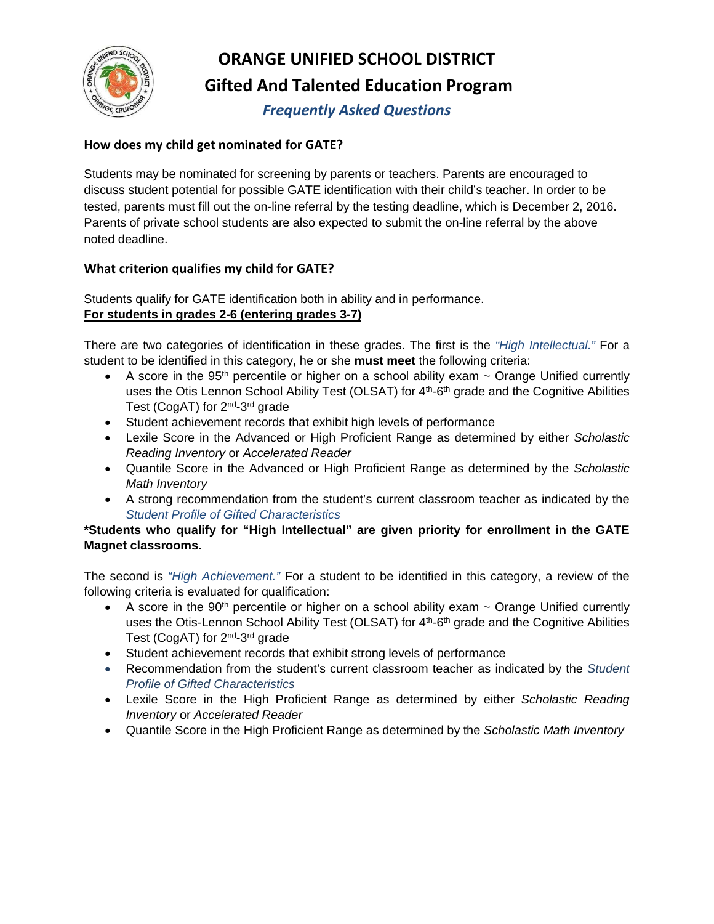

# **ORANGE UNIFIED SCHOOL DISTRICT Gifted And Talented Education Program**

*Frequently Asked Questions*

## **How does my child get nominated for GATE?**

Students may be nominated for screening by parents or teachers. Parents are encouraged to discuss student potential for possible GATE identification with their child's teacher. In order to be tested, parents must fill out the on-line referral by the testing deadline, which is December 2, 2016. Parents of private school students are also expected to submit the on-line referral by the above noted deadline.

## **What criterion qualifies my child for GATE?**

Students qualify for GATE identification both in ability and in performance. **For students in grades 2-6 (entering grades 3-7)**

There are two categories of identification in these grades. The first is the *"High Intellectual."* For a student to be identified in this category, he or she **must meet** the following criteria:

- A score in the 95<sup>th</sup> percentile or higher on a school ability exam ~ Orange Unified currently uses the Otis Lennon School Ability Test (OLSAT) for 4<sup>th</sup>-6<sup>th</sup> grade and the Cognitive Abilities Test (CogAT) for 2nd-3rd grade
- Student achievement records that exhibit high levels of performance
- Lexile Score in the Advanced or High Proficient Range as determined by either *Scholastic Reading Inventory* or *Accelerated Reader*
- Quantile Score in the Advanced or High Proficient Range as determined by the *Scholastic Math Inventory*
- A strong recommendation from the student's current classroom teacher as indicated by the *Student Profile of Gifted Characteristics*

#### **\*Students who qualify for "High Intellectual" are given priority for enrollment in the GATE Magnet classrooms.**

The second is *"High Achievement."* For a student to be identified in this category, a review of the following criteria is evaluated for qualification:

- A score in the 90<sup>th</sup> percentile or higher on a school ability exam ~ Orange Unified currently uses the Otis-Lennon School Ability Test (OLSAT) for 4<sup>th</sup>-6<sup>th</sup> grade and the Cognitive Abilities Test (CogAT) for 2<sup>nd</sup>-3<sup>rd</sup> grade
- Student achievement records that exhibit strong levels of performance
- Recommendation from the student's current classroom teacher as indicated by the *Student Profile of Gifted Characteristics*
- Lexile Score in the High Proficient Range as determined by either *Scholastic Reading Inventory* or *Accelerated Reader*
- Quantile Score in the High Proficient Range as determined by the *Scholastic Math Inventory*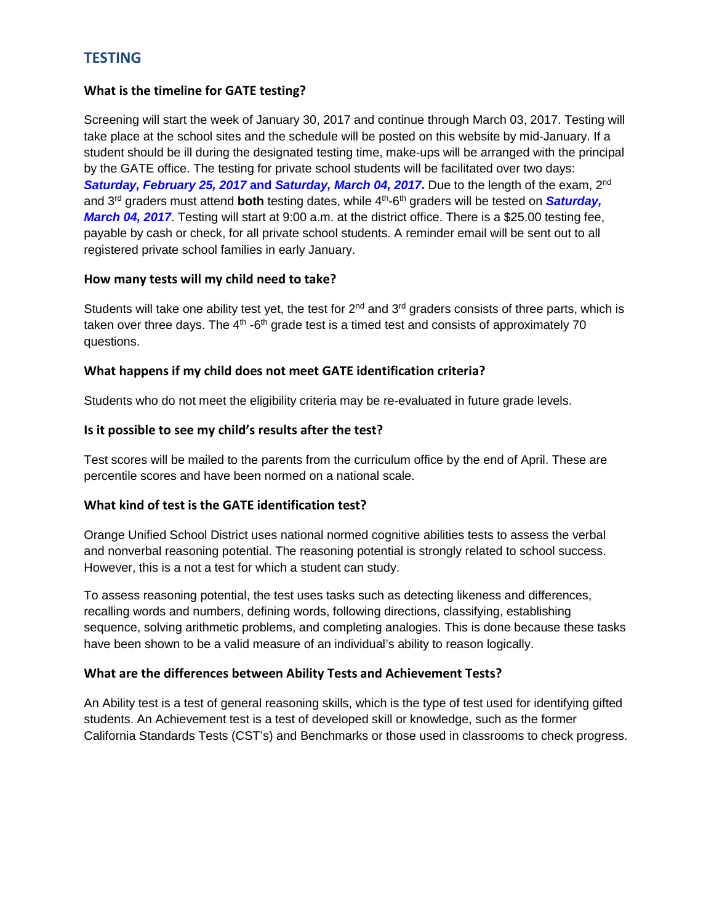# **TESTING**

#### **What is the timeline for GATE testing?**

Screening will start the week of January 30, 2017 and continue through March 03, 2017. Testing will take place at the school sites and the schedule will be posted on this website by mid-January. If a student should be ill during the designated testing time, make-ups will be arranged with the principal by the GATE office. The testing for private school students will be facilitated over two days: *Saturday, February 25, 2017* **and** *Saturday, March 04, 2017***.** Due to the length of the exam, 2nd and 3rd graders must attend **both** testing dates, while 4th-6th graders will be tested on *Saturday, March 04, 2017*. Testing will start at 9:00 a.m. at the district office. There is a \$25.00 testing fee, payable by cash or check, for all private school students. A reminder email will be sent out to all registered private school families in early January.

#### **How many tests will my child need to take?**

Students will take one ability test yet, the test for 2<sup>nd</sup> and 3<sup>rd</sup> graders consists of three parts, which is taken over three days. The  $4<sup>th</sup>$ -6<sup>th</sup> grade test is a timed test and consists of approximately 70 questions.

#### **What happens if my child does not meet GATE identification criteria?**

Students who do not meet the eligibility criteria may be re-evaluated in future grade levels.

#### **Is it possible to see my child's results after the test?**

Test scores will be mailed to the parents from the curriculum office by the end of April. These are percentile scores and have been normed on a national scale.

#### **What kind of test is the GATE identification test?**

Orange Unified School District uses national normed cognitive abilities tests to assess the verbal and nonverbal reasoning potential. The reasoning potential is strongly related to school success. However, this is a not a test for which a student can study.

To assess reasoning potential, the test uses tasks such as detecting likeness and differences, recalling words and numbers, defining words, following directions, classifying, establishing sequence, solving arithmetic problems, and completing analogies. This is done because these tasks have been shown to be a valid measure of an individual's ability to reason logically.

#### **What are the differences between Ability Tests and Achievement Tests?**

An Ability test is a test of general reasoning skills, which is the type of test used for identifying gifted students. An Achievement test is a test of developed skill or knowledge, such as the former California Standards Tests (CST's) and Benchmarks or those used in classrooms to check progress.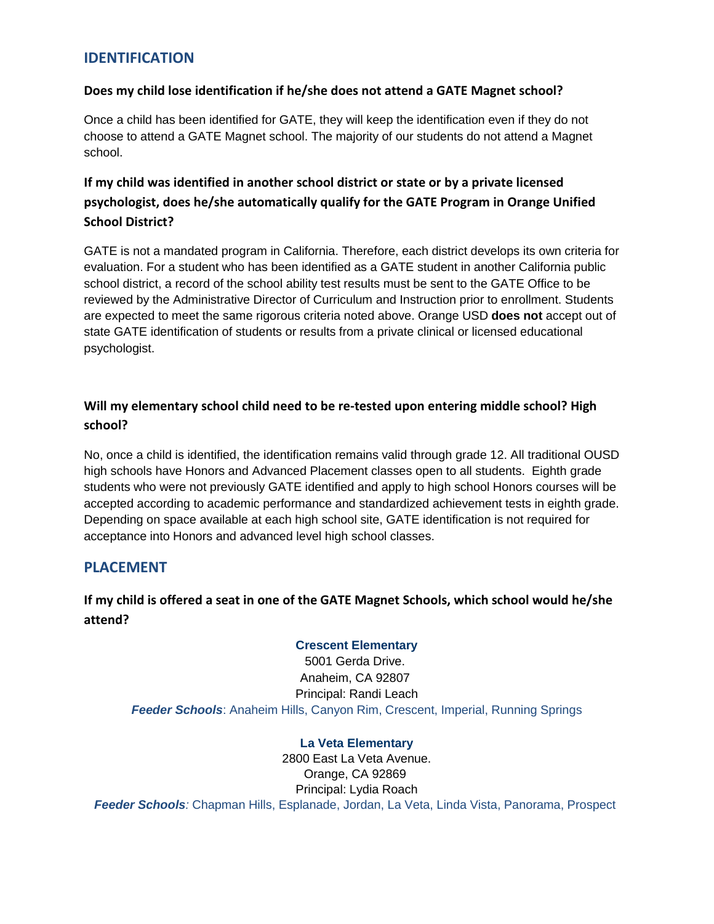## **IDENTIFICATION**

#### **Does my child lose identification if he/she does not attend a GATE Magnet school?**

Once a child has been identified for GATE, they will keep the identification even if they do not choose to attend a GATE Magnet school. The majority of our students do not attend a Magnet school.

# **If my child was identified in another school district or state or by a private licensed psychologist, does he/she automatically qualify for the GATE Program in Orange Unified School District?**

GATE is not a mandated program in California. Therefore, each district develops its own criteria for evaluation. For a student who has been identified as a GATE student in another California public school district, a record of the school ability test results must be sent to the GATE Office to be reviewed by the Administrative Director of Curriculum and Instruction prior to enrollment. Students are expected to meet the same rigorous criteria noted above. Orange USD **does not** accept out of state GATE identification of students or results from a private clinical or licensed educational psychologist.

## **Will my elementary school child need to be re-tested upon entering middle school? High school?**

No, once a child is identified, the identification remains valid through grade 12. All traditional OUSD high schools have Honors and Advanced Placement classes open to all students. Eighth grade students who were not previously GATE identified and apply to high school Honors courses will be accepted according to academic performance and standardized achievement tests in eighth grade. Depending on space available at each high school site, GATE identification is not required for acceptance into Honors and advanced level high school classes.

## **PLACEMENT**

# **If my child is offered a seat in one of the GATE Magnet Schools, which school would he/she attend?**

#### **Crescent [Elementary](http://www.orangeusd.org/schools/elementary/crescent/index.asp)**

5001 Gerda Drive. Anaheim, CA 92807 Principal: Randi Leach *Feeder Schools*: Anaheim Hills, Canyon Rim, Crescent, Imperial, Running Springs

#### **La Veta [Elementary](http://www.orangeusd.org/schools/elementary/la_veta/index.asp)**

2800 East La Veta Avenue. Orange, CA 92869 Principal: Lydia Roach *Feeder Schools:* Chapman Hills, Esplanade, Jordan, La Veta, Linda Vista, Panorama, Prospect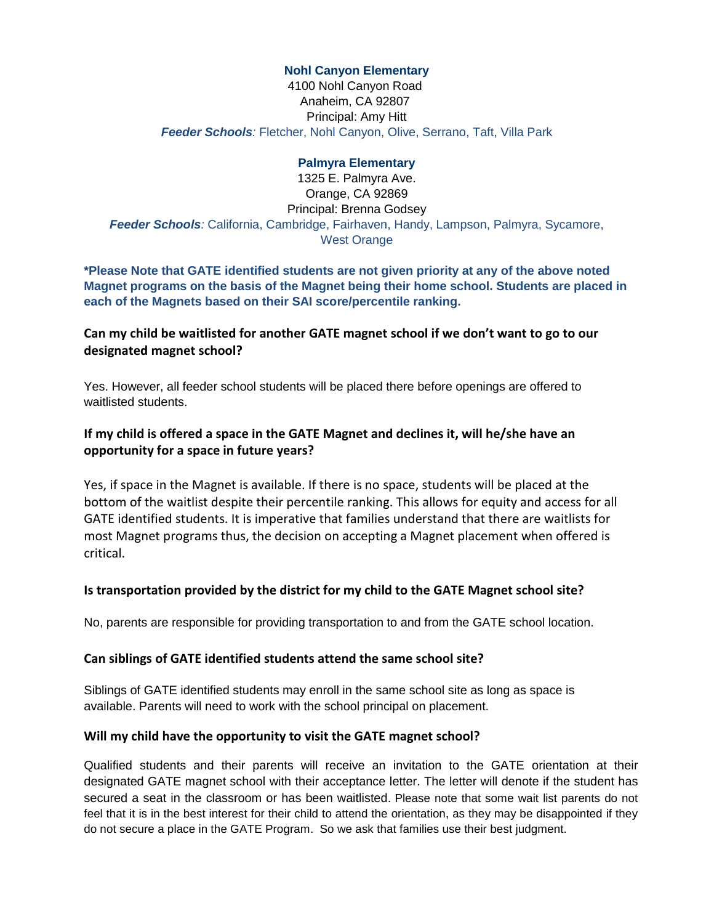#### **Nohl Canyon [Elementary](http://www.orangeusd.org/schools/elementary/nohlcanyon/index.asp)**

4100 Nohl Canyon Road Anaheim, CA 92807 Principal: Amy Hitt *Feeder Schools:* Fletcher, Nohl Canyon, Olive, Serrano, Taft, Villa Park

#### **Palmyra [Elementary](http://www.orangeusd.org/schools/elementary/palmyra/index.asp)**

1325 E. Palmyra Ave. Orange, CA 92869 Principal: Brenna Godsey *Feeder Schools:* California, Cambridge, Fairhaven, Handy, Lampson, Palmyra, Sycamore, West Orange

**\*Please Note that GATE identified students are not given priority at any of the above noted Magnet programs on the basis of the Magnet being their home school. Students are placed in each of the Magnets based on their SAI score/percentile ranking.** 

#### **Can my child be waitlisted for another GATE magnet school if we don't want to go to our designated magnet school?**

Yes. However, all feeder school students will be placed there before openings are offered to waitlisted students.

#### **If my child is offered a space in the GATE Magnet and declines it, will he/she have an opportunity for a space in future years?**

Yes, if space in the Magnet is available. If there is no space, students will be placed at the bottom of the waitlist despite their percentile ranking. This allows for equity and access for all GATE identified students. It is imperative that families understand that there are waitlists for most Magnet programs thus, the decision on accepting a Magnet placement when offered is critical.

#### **Is transportation provided by the district for my child to the GATE Magnet school site?**

No, parents are responsible for providing transportation to and from the GATE school location.

#### **Can siblings of GATE identified students attend the same school site?**

Siblings of GATE identified students may enroll in the same school site as long as space is available. Parents will need to work with the school principal on placement.

#### **Will my child have the opportunity to visit the GATE magnet school?**

Qualified students and their parents will receive an invitation to the GATE orientation at their designated GATE magnet school with their acceptance letter. The letter will denote if the student has secured a seat in the classroom or has been waitlisted. Please note that some wait list parents do not feel that it is in the best interest for their child to attend the orientation, as they may be disappointed if they do not secure a place in the GATE Program. So we ask that families use their best judgment.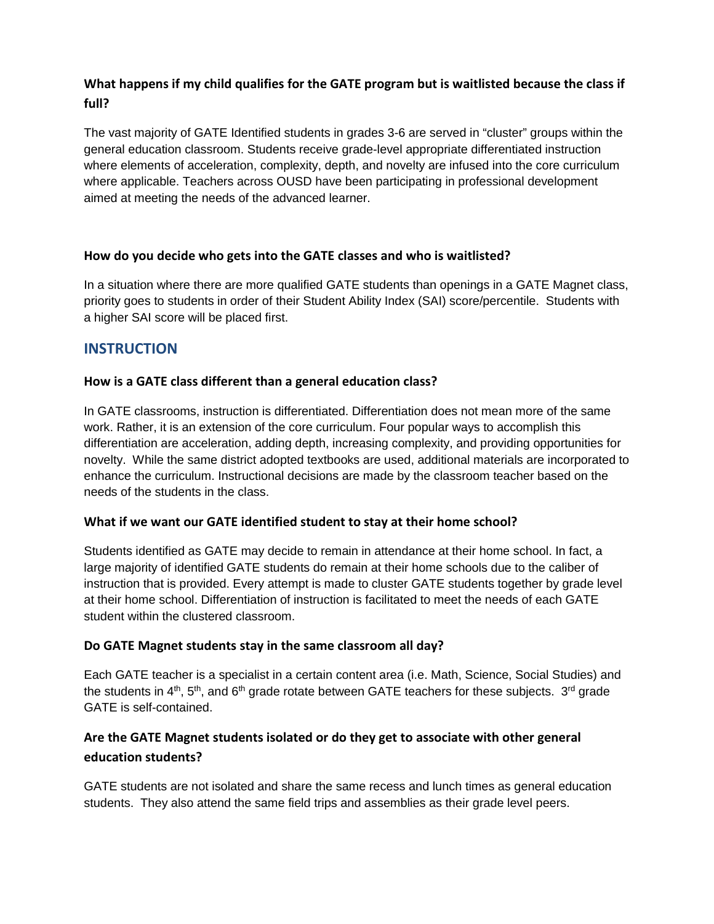## **What happens if my child qualifies for the GATE program but is waitlisted because the class if full?**

The vast majority of GATE Identified students in grades 3-6 are served in "cluster" groups within the general education classroom. Students receive grade-level appropriate differentiated instruction where elements of acceleration, complexity, depth, and novelty are infused into the core curriculum where applicable. Teachers across OUSD have been participating in professional development aimed at meeting the needs of the advanced learner.

#### **How do you decide who gets into the GATE classes and who is waitlisted?**

In a situation where there are more qualified GATE students than openings in a GATE Magnet class, priority goes to students in order of their Student Ability Index (SAI) score/percentile. Students with a higher SAI score will be placed first.

# **INSTRUCTION**

#### **How is a GATE class different than a general education class?**

In GATE classrooms, instruction is differentiated. Differentiation does not mean more of the same work. Rather, it is an extension of the core curriculum. Four popular ways to accomplish this differentiation are acceleration, adding depth, increasing complexity, and providing opportunities for novelty. While the same district adopted textbooks are used, additional materials are incorporated to enhance the curriculum. Instructional decisions are made by the classroom teacher based on the needs of the students in the class.

#### **What if we want our GATE identified student to stay at their home school?**

Students identified as GATE may decide to remain in attendance at their home school. In fact, a large majority of identified GATE students do remain at their home schools due to the caliber of instruction that is provided. Every attempt is made to cluster GATE students together by grade level at their home school. Differentiation of instruction is facilitated to meet the needs of each GATE student within the clustered classroom.

#### **Do GATE Magnet students stay in the same classroom all day?**

Each GATE teacher is a specialist in a certain content area (i.e. Math, Science, Social Studies) and the students in  $4<sup>th</sup>$ ,  $5<sup>th</sup>$ , and  $6<sup>th</sup>$  grade rotate between GATE teachers for these subjects.  $3<sup>rd</sup>$  grade GATE is self-contained.

## **Are the GATE Magnet students isolated or do they get to associate with other general education students?**

GATE students are not isolated and share the same recess and lunch times as general education students. They also attend the same field trips and assemblies as their grade level peers.